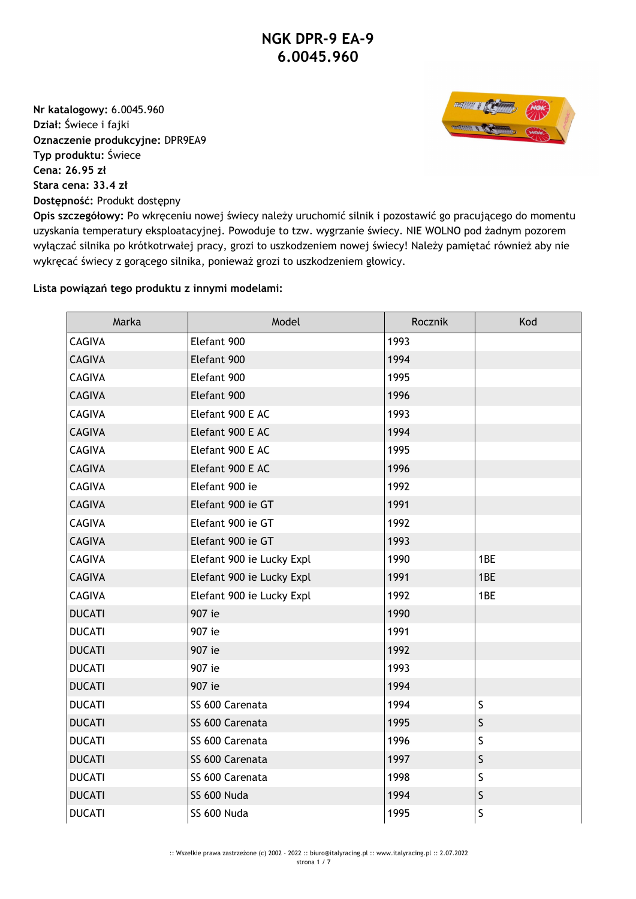**Nr katalogowy:** 6.0045.960 **Dział:** Świece i fajki **Oznaczenie produkcyjne:** DPR9EA9 **Typ produktu:** Świece **Cena: 26.95 zł Stara cena: 33.4 zł Dostępność:** Produkt dostępny



**Opis szczegółowy:** Po wkręceniu nowej świecy należy uruchomić silnik i pozostawić go pracującego do momentu uzyskania temperatury eksploatacyjnej. Powoduje to tzw. wygrzanie świecy. NIE WOLNO pod żadnym pozorem wyłączać silnika po krótkotrwałej pracy, grozi to uszkodzeniem nowej świecy! Należy pamiętać również aby nie wykręcać świecy z gorącego silnika, ponieważ grozi to uszkodzeniem głowicy.

## **Lista powiązań tego produktu z innymi modelami:**

| Marka         | Model                     | Rocznik | Kod         |
|---------------|---------------------------|---------|-------------|
| <b>CAGIVA</b> | Elefant 900               | 1993    |             |
| <b>CAGIVA</b> | Elefant 900               | 1994    |             |
| <b>CAGIVA</b> | Elefant 900               | 1995    |             |
| <b>CAGIVA</b> | Elefant 900               | 1996    |             |
| <b>CAGIVA</b> | Elefant 900 E AC          | 1993    |             |
| <b>CAGIVA</b> | Elefant 900 E AC          | 1994    |             |
| <b>CAGIVA</b> | Elefant 900 E AC          | 1995    |             |
| <b>CAGIVA</b> | Elefant 900 E AC          | 1996    |             |
| <b>CAGIVA</b> | Elefant 900 ie            | 1992    |             |
| <b>CAGIVA</b> | Elefant 900 ie GT         | 1991    |             |
| <b>CAGIVA</b> | Elefant 900 ie GT         | 1992    |             |
| <b>CAGIVA</b> | Elefant 900 ie GT         | 1993    |             |
| <b>CAGIVA</b> | Elefant 900 ie Lucky Expl | 1990    | 1BE         |
| <b>CAGIVA</b> | Elefant 900 ie Lucky Expl | 1991    | 1BE         |
| <b>CAGIVA</b> | Elefant 900 ie Lucky Expl | 1992    | 1BE         |
| <b>DUCATI</b> | 907 ie                    | 1990    |             |
| <b>DUCATI</b> | 907 ie                    | 1991    |             |
| <b>DUCATI</b> | 907 ie                    | 1992    |             |
| <b>DUCATI</b> | 907 ie                    | 1993    |             |
| <b>DUCATI</b> | 907 ie                    | 1994    |             |
| <b>DUCATI</b> | SS 600 Carenata           | 1994    | $\sf S$     |
| <b>DUCATI</b> | SS 600 Carenata           | 1995    | S           |
| <b>DUCATI</b> | SS 600 Carenata           | 1996    | $\mathsf S$ |
| <b>DUCATI</b> | SS 600 Carenata           | 1997    | S           |
| <b>DUCATI</b> | SS 600 Carenata           | 1998    | $\sf S$     |
| <b>DUCATI</b> | SS 600 Nuda               | 1994    | $\sf S$     |
| <b>DUCATI</b> | SS 600 Nuda               | 1995    | S           |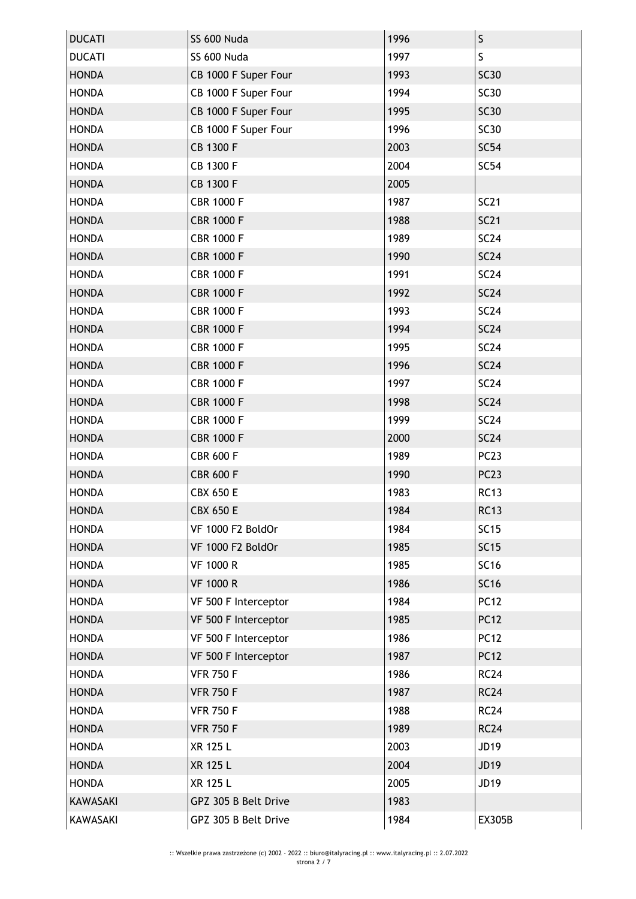| <b>DUCATI</b>   | SS 600 Nuda          | 1996 | $\sf S$          |
|-----------------|----------------------|------|------------------|
| <b>DUCATI</b>   | SS 600 Nuda          | 1997 | S                |
| <b>HONDA</b>    | CB 1000 F Super Four | 1993 | <b>SC30</b>      |
| <b>HONDA</b>    | CB 1000 F Super Four | 1994 | <b>SC30</b>      |
| <b>HONDA</b>    | CB 1000 F Super Four | 1995 | <b>SC30</b>      |
| <b>HONDA</b>    | CB 1000 F Super Four | 1996 | <b>SC30</b>      |
| <b>HONDA</b>    | CB 1300 F            | 2003 | <b>SC54</b>      |
| <b>HONDA</b>    | CB 1300 F            | 2004 | <b>SC54</b>      |
| <b>HONDA</b>    | CB 1300 F            | 2005 |                  |
| <b>HONDA</b>    | <b>CBR 1000 F</b>    | 1987 | <b>SC21</b>      |
| <b>HONDA</b>    | <b>CBR 1000 F</b>    | 1988 | <b>SC21</b>      |
| <b>HONDA</b>    | <b>CBR 1000 F</b>    | 1989 | <b>SC24</b>      |
| <b>HONDA</b>    | <b>CBR 1000 F</b>    | 1990 | <b>SC24</b>      |
| <b>HONDA</b>    | <b>CBR 1000 F</b>    | 1991 | <b>SC24</b>      |
| <b>HONDA</b>    | <b>CBR 1000 F</b>    | 1992 | <b>SC24</b>      |
| <b>HONDA</b>    | <b>CBR 1000 F</b>    | 1993 | <b>SC24</b>      |
| <b>HONDA</b>    | <b>CBR 1000 F</b>    | 1994 | <b>SC24</b>      |
| <b>HONDA</b>    | <b>CBR 1000 F</b>    | 1995 | <b>SC24</b>      |
| <b>HONDA</b>    | <b>CBR 1000 F</b>    | 1996 | <b>SC24</b>      |
| <b>HONDA</b>    | <b>CBR 1000 F</b>    | 1997 | SC24             |
| <b>HONDA</b>    | <b>CBR 1000 F</b>    | 1998 | <b>SC24</b>      |
| <b>HONDA</b>    | <b>CBR 1000 F</b>    | 1999 | SC24             |
| <b>HONDA</b>    | <b>CBR 1000 F</b>    | 2000 | <b>SC24</b>      |
| <b>HONDA</b>    | <b>CBR 600 F</b>     | 1989 | PC <sub>23</sub> |
| <b>HONDA</b>    | <b>CBR 600 F</b>     | 1990 | PC <sub>23</sub> |
| <b>HONDA</b>    | <b>CBX 650 E</b>     | 1983 | <b>RC13</b>      |
| <b>HONDA</b>    | <b>CBX 650 E</b>     | 1984 | <b>RC13</b>      |
| <b>HONDA</b>    | VF 1000 F2 BoldOr    | 1984 | <b>SC15</b>      |
| <b>HONDA</b>    | VF 1000 F2 BoldOr    | 1985 | <b>SC15</b>      |
| <b>HONDA</b>    | <b>VF 1000 R</b>     | 1985 | <b>SC16</b>      |
| <b>HONDA</b>    | <b>VF 1000 R</b>     | 1986 | <b>SC16</b>      |
| <b>HONDA</b>    | VF 500 F Interceptor | 1984 | <b>PC12</b>      |
| <b>HONDA</b>    | VF 500 F Interceptor | 1985 | <b>PC12</b>      |
| <b>HONDA</b>    | VF 500 F Interceptor | 1986 | <b>PC12</b>      |
| <b>HONDA</b>    | VF 500 F Interceptor | 1987 | <b>PC12</b>      |
| <b>HONDA</b>    | <b>VFR 750 F</b>     | 1986 | <b>RC24</b>      |
| <b>HONDA</b>    | <b>VFR 750 F</b>     | 1987 | <b>RC24</b>      |
| <b>HONDA</b>    | <b>VFR 750 F</b>     | 1988 | <b>RC24</b>      |
| <b>HONDA</b>    | <b>VFR 750 F</b>     | 1989 | <b>RC24</b>      |
| <b>HONDA</b>    | XR 125 L             | 2003 | JD19             |
| <b>HONDA</b>    | XR 125 L             | 2004 | <b>JD19</b>      |
| <b>HONDA</b>    | XR 125 L             | 2005 | JD19             |
| <b>KAWASAKI</b> | GPZ 305 B Belt Drive | 1983 |                  |
| KAWASAKI        | GPZ 305 B Belt Drive | 1984 | <b>EX305B</b>    |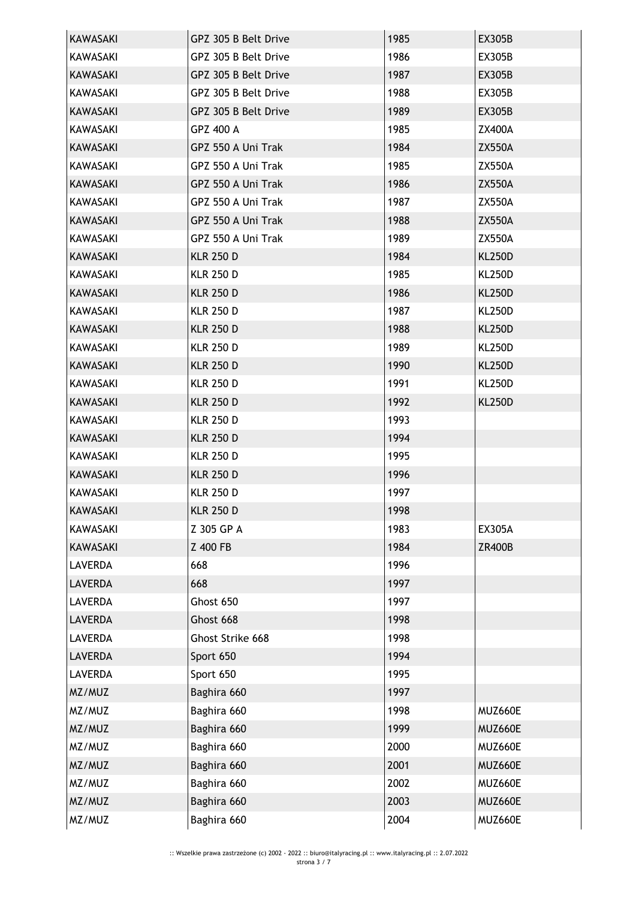| KAWASAKI        | GPZ 305 B Belt Drive | 1985 | <b>EX305B</b> |
|-----------------|----------------------|------|---------------|
| KAWASAKI        | GPZ 305 B Belt Drive | 1986 | <b>EX305B</b> |
| <b>KAWASAKI</b> | GPZ 305 B Belt Drive | 1987 | <b>EX305B</b> |
| KAWASAKI        | GPZ 305 B Belt Drive | 1988 | <b>EX305B</b> |
| <b>KAWASAKI</b> | GPZ 305 B Belt Drive | 1989 | EX305B        |
| KAWASAKI        | GPZ 400 A            | 1985 | <b>ZX400A</b> |
| <b>KAWASAKI</b> | GPZ 550 A Uni Trak   | 1984 | <b>ZX550A</b> |
| KAWASAKI        | GPZ 550 A Uni Trak   | 1985 | <b>ZX550A</b> |
| <b>KAWASAKI</b> | GPZ 550 A Uni Trak   | 1986 | <b>ZX550A</b> |
| KAWASAKI        | GPZ 550 A Uni Trak   | 1987 | <b>ZX550A</b> |
| <b>KAWASAKI</b> | GPZ 550 A Uni Trak   | 1988 | <b>ZX550A</b> |
| KAWASAKI        | GPZ 550 A Uni Trak   | 1989 | <b>ZX550A</b> |
| <b>KAWASAKI</b> | <b>KLR 250 D</b>     | 1984 | <b>KL250D</b> |
| KAWASAKI        | <b>KLR 250 D</b>     | 1985 | <b>KL250D</b> |
| <b>KAWASAKI</b> | <b>KLR 250 D</b>     | 1986 | <b>KL250D</b> |
| KAWASAKI        | <b>KLR 250 D</b>     | 1987 | <b>KL250D</b> |
| <b>KAWASAKI</b> | <b>KLR 250 D</b>     | 1988 | <b>KL250D</b> |
| KAWASAKI        | <b>KLR 250 D</b>     | 1989 | KL250D        |
| <b>KAWASAKI</b> | <b>KLR 250 D</b>     | 1990 | <b>KL250D</b> |
| KAWASAKI        | <b>KLR 250 D</b>     | 1991 | <b>KL250D</b> |
| <b>KAWASAKI</b> | <b>KLR 250 D</b>     | 1992 | <b>KL250D</b> |
| KAWASAKI        | <b>KLR 250 D</b>     | 1993 |               |
| <b>KAWASAKI</b> | <b>KLR 250 D</b>     | 1994 |               |
| KAWASAKI        | <b>KLR 250 D</b>     | 1995 |               |
| KAWASAKI        | <b>KLR 250 D</b>     | 1996 |               |
| <b>KAWASAKI</b> | <b>KLR 250 D</b>     | 1997 |               |
| <b>KAWASAKI</b> | <b>KLR 250 D</b>     | 1998 |               |
| <b>KAWASAKI</b> | Z 305 GP A           | 1983 | <b>EX305A</b> |
| <b>KAWASAKI</b> | Z 400 FB             | 1984 | <b>ZR400B</b> |
| <b>LAVERDA</b>  | 668                  | 1996 |               |
| <b>LAVERDA</b>  | 668                  | 1997 |               |
| <b>LAVERDA</b>  | Ghost 650            | 1997 |               |
| <b>LAVERDA</b>  | Ghost 668            | 1998 |               |
| <b>LAVERDA</b>  | Ghost Strike 668     | 1998 |               |
| <b>LAVERDA</b>  | Sport 650            | 1994 |               |
| <b>LAVERDA</b>  | Sport 650            | 1995 |               |
| MZ/MUZ          | Baghira 660          | 1997 |               |
| MZ/MUZ          | Baghira 660          | 1998 | MUZ660E       |
| MZ/MUZ          | Baghira 660          | 1999 | MUZ660E       |
| MZ/MUZ          | Baghira 660          | 2000 | MUZ660E       |
| MZ/MUZ          | Baghira 660          | 2001 | MUZ660E       |
| MZ/MUZ          | Baghira 660          | 2002 | MUZ660E       |
| MZ/MUZ          | Baghira 660          | 2003 | MUZ660E       |
| MZ/MUZ          | Baghira 660          | 2004 | MUZ660E       |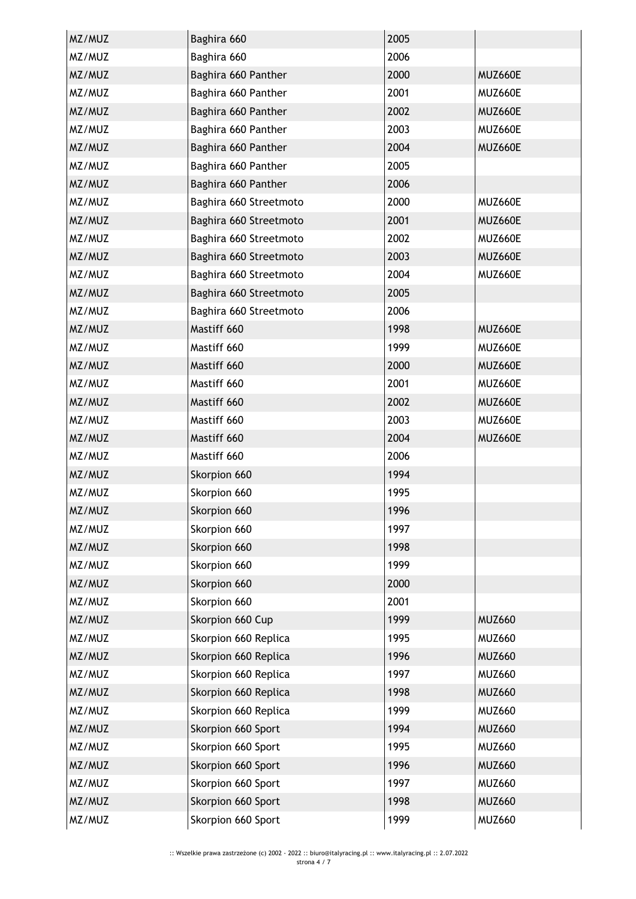| MZ/MUZ | Baghira 660            | 2005 |               |
|--------|------------------------|------|---------------|
| MZ/MUZ | Baghira 660            | 2006 |               |
| MZ/MUZ | Baghira 660 Panther    | 2000 | MUZ660E       |
| MZ/MUZ | Baghira 660 Panther    | 2001 | MUZ660E       |
| MZ/MUZ | Baghira 660 Panther    | 2002 | MUZ660E       |
| MZ/MUZ | Baghira 660 Panther    | 2003 | MUZ660E       |
| MZ/MUZ | Baghira 660 Panther    | 2004 | MUZ660E       |
| MZ/MUZ | Baghira 660 Panther    | 2005 |               |
| MZ/MUZ | Baghira 660 Panther    | 2006 |               |
| MZ/MUZ | Baghira 660 Streetmoto | 2000 | MUZ660E       |
| MZ/MUZ | Baghira 660 Streetmoto | 2001 | MUZ660E       |
| MZ/MUZ | Baghira 660 Streetmoto | 2002 | MUZ660E       |
| MZ/MUZ | Baghira 660 Streetmoto | 2003 | MUZ660E       |
| MZ/MUZ | Baghira 660 Streetmoto | 2004 | MUZ660E       |
| MZ/MUZ | Baghira 660 Streetmoto | 2005 |               |
| MZ/MUZ | Baghira 660 Streetmoto | 2006 |               |
| MZ/MUZ | Mastiff 660            | 1998 | MUZ660E       |
| MZ/MUZ | Mastiff 660            | 1999 | MUZ660E       |
| MZ/MUZ | Mastiff 660            | 2000 | MUZ660E       |
| MZ/MUZ | Mastiff 660            | 2001 | MUZ660E       |
| MZ/MUZ | Mastiff 660            | 2002 | MUZ660E       |
| MZ/MUZ | Mastiff 660            | 2003 | MUZ660E       |
| MZ/MUZ | Mastiff 660            | 2004 | MUZ660E       |
| MZ/MUZ | Mastiff 660            | 2006 |               |
| MZ/MUZ | Skorpion 660           | 1994 |               |
| MZ/MUZ | Skorpion 660           | 1995 |               |
| MZ/MUZ | Skorpion 660           | 1996 |               |
| MZ/MUZ | Skorpion 660           | 1997 |               |
| MZ/MUZ | Skorpion 660           | 1998 |               |
| MZ/MUZ | Skorpion 660           | 1999 |               |
| MZ/MUZ | Skorpion 660           | 2000 |               |
| MZ/MUZ | Skorpion 660           | 2001 |               |
| MZ/MUZ | Skorpion 660 Cup       | 1999 | <b>MUZ660</b> |
| MZ/MUZ | Skorpion 660 Replica   | 1995 | <b>MUZ660</b> |
| MZ/MUZ | Skorpion 660 Replica   | 1996 | <b>MUZ660</b> |
| MZ/MUZ | Skorpion 660 Replica   | 1997 | <b>MUZ660</b> |
| MZ/MUZ | Skorpion 660 Replica   | 1998 | <b>MUZ660</b> |
| MZ/MUZ | Skorpion 660 Replica   | 1999 | <b>MUZ660</b> |
| MZ/MUZ | Skorpion 660 Sport     | 1994 | <b>MUZ660</b> |
| MZ/MUZ | Skorpion 660 Sport     | 1995 | <b>MUZ660</b> |
| MZ/MUZ | Skorpion 660 Sport     | 1996 | <b>MUZ660</b> |
| MZ/MUZ | Skorpion 660 Sport     | 1997 | <b>MUZ660</b> |
| MZ/MUZ | Skorpion 660 Sport     | 1998 | <b>MUZ660</b> |
| MZ/MUZ | Skorpion 660 Sport     | 1999 | <b>MUZ660</b> |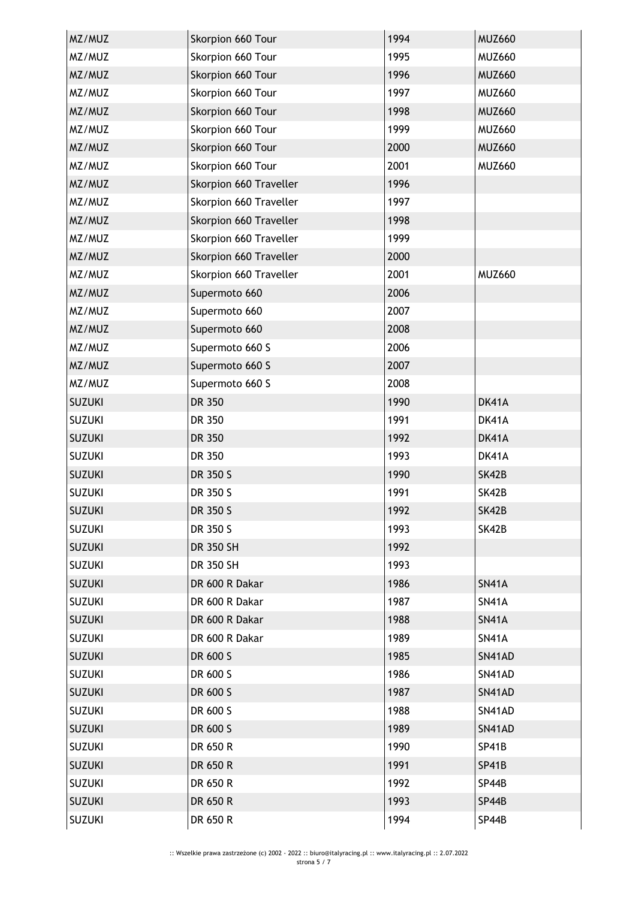| MZ/MUZ        | Skorpion 660 Tour      | 1994 | <b>MUZ660</b> |
|---------------|------------------------|------|---------------|
| MZ/MUZ        | Skorpion 660 Tour      | 1995 | <b>MUZ660</b> |
| MZ/MUZ        | Skorpion 660 Tour      | 1996 | <b>MUZ660</b> |
| MZ/MUZ        | Skorpion 660 Tour      | 1997 | <b>MUZ660</b> |
| MZ/MUZ        | Skorpion 660 Tour      | 1998 | <b>MUZ660</b> |
| MZ/MUZ        | Skorpion 660 Tour      | 1999 | <b>MUZ660</b> |
| MZ/MUZ        | Skorpion 660 Tour      | 2000 | <b>MUZ660</b> |
| MZ/MUZ        | Skorpion 660 Tour      | 2001 | <b>MUZ660</b> |
| MZ/MUZ        | Skorpion 660 Traveller | 1996 |               |
| MZ/MUZ        | Skorpion 660 Traveller | 1997 |               |
| MZ/MUZ        | Skorpion 660 Traveller | 1998 |               |
| MZ/MUZ        | Skorpion 660 Traveller | 1999 |               |
| MZ/MUZ        | Skorpion 660 Traveller | 2000 |               |
| MZ/MUZ        | Skorpion 660 Traveller | 2001 | <b>MUZ660</b> |
| MZ/MUZ        | Supermoto 660          | 2006 |               |
| MZ/MUZ        | Supermoto 660          | 2007 |               |
| MZ/MUZ        | Supermoto 660          | 2008 |               |
| MZ/MUZ        | Supermoto 660 S        | 2006 |               |
| MZ/MUZ        | Supermoto 660 S        | 2007 |               |
| MZ/MUZ        | Supermoto 660 S        | 2008 |               |
| <b>SUZUKI</b> | DR 350                 | 1990 | DK41A         |
| <b>SUZUKI</b> | DR 350                 | 1991 | DK41A         |
| <b>SUZUKI</b> | DR 350                 | 1992 | DK41A         |
| <b>SUZUKI</b> | DR 350                 | 1993 | DK41A         |
| <b>SUZUKI</b> | DR 350 S               | 1990 | SK42B         |
| <b>SUZUKI</b> | DR 350 S               | 1991 | SK42B         |
| <b>SUZUKI</b> | DR 350 S               | 1992 | SK42B         |
| <b>SUZUKI</b> | DR 350 S               | 1993 | SK42B         |
| <b>SUZUKI</b> | DR 350 SH              | 1992 |               |
| <b>SUZUKI</b> | DR 350 SH              | 1993 |               |
| <b>SUZUKI</b> | DR 600 R Dakar         | 1986 | <b>SN41A</b>  |
| <b>SUZUKI</b> | DR 600 R Dakar         | 1987 | <b>SN41A</b>  |
| <b>SUZUKI</b> | DR 600 R Dakar         | 1988 | <b>SN41A</b>  |
| <b>SUZUKI</b> | DR 600 R Dakar         | 1989 | <b>SN41A</b>  |
| <b>SUZUKI</b> | DR 600 S               | 1985 | SN41AD        |
| <b>SUZUKI</b> | DR 600 S               | 1986 | SN41AD        |
| <b>SUZUKI</b> | DR 600 S               | 1987 | SN41AD        |
| <b>SUZUKI</b> | DR 600 S               | 1988 | SN41AD        |
| <b>SUZUKI</b> | DR 600 S               | 1989 | SN41AD        |
| <b>SUZUKI</b> | DR 650 R               | 1990 | SP41B         |
| <b>SUZUKI</b> | DR 650 R               | 1991 | SP41B         |
| <b>SUZUKI</b> | DR 650 R               | 1992 | SP44B         |
| <b>SUZUKI</b> | DR 650 R               | 1993 | SP44B         |
| <b>SUZUKI</b> | DR 650 R               | 1994 | SP44B         |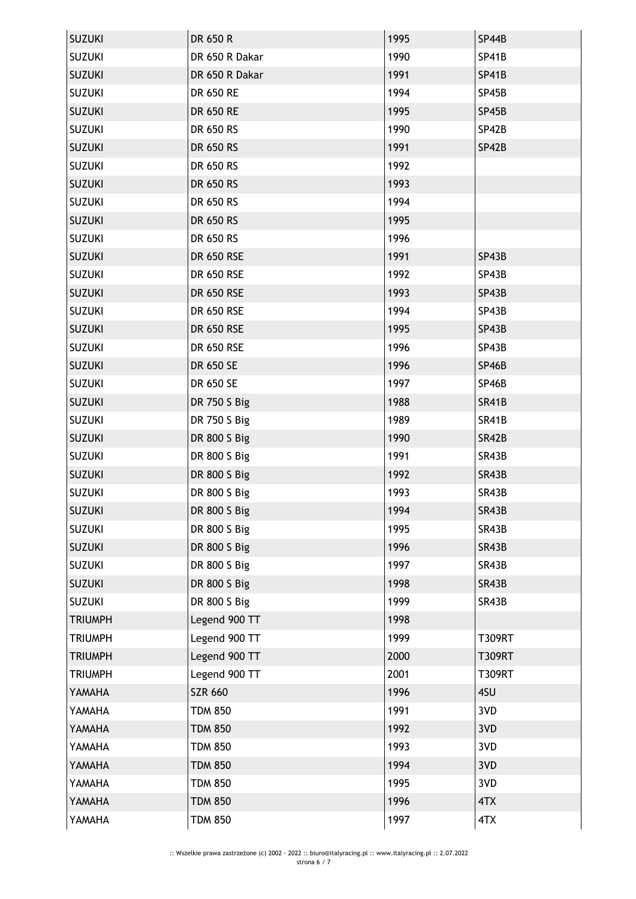| <b>SUZUKI</b>  | DR 650 R          | 1995 | SP44B         |
|----------------|-------------------|------|---------------|
| <b>SUZUKI</b>  | DR 650 R Dakar    | 1990 | <b>SP41B</b>  |
| <b>SUZUKI</b>  | DR 650 R Dakar    | 1991 | <b>SP41B</b>  |
| <b>SUZUKI</b>  | DR 650 RE         | 1994 | SP45B         |
| <b>SUZUKI</b>  | DR 650 RE         | 1995 | SP45B         |
| <b>SUZUKI</b>  | DR 650 RS         | 1990 | SP42B         |
| <b>SUZUKI</b>  | DR 650 RS         | 1991 | SP42B         |
| <b>SUZUKI</b>  | DR 650 RS         | 1992 |               |
| <b>SUZUKI</b>  | DR 650 RS         | 1993 |               |
| <b>SUZUKI</b>  | DR 650 RS         | 1994 |               |
| <b>SUZUKI</b>  | <b>DR 650 RS</b>  | 1995 |               |
| <b>SUZUKI</b>  | DR 650 RS         | 1996 |               |
| <b>SUZUKI</b>  | DR 650 RSE        | 1991 | SP43B         |
| <b>SUZUKI</b>  | DR 650 RSE        | 1992 | SP43B         |
| <b>SUZUKI</b>  | <b>DR 650 RSE</b> | 1993 | SP43B         |
| <b>SUZUKI</b>  | <b>DR 650 RSE</b> | 1994 | SP43B         |
| <b>SUZUKI</b>  | DR 650 RSE        | 1995 | SP43B         |
| <b>SUZUKI</b>  | <b>DR 650 RSE</b> | 1996 | SP43B         |
| <b>SUZUKI</b>  | DR 650 SE         | 1996 | <b>SP46B</b>  |
| <b>SUZUKI</b>  | DR 650 SE         | 1997 | SP46B         |
| <b>SUZUKI</b>  | DR 750 S Big      | 1988 | <b>SR41B</b>  |
| <b>SUZUKI</b>  | DR 750 S Big      | 1989 | SR41B         |
| <b>SUZUKI</b>  | DR 800 S Big      | 1990 | <b>SR42B</b>  |
| <b>SUZUKI</b>  | DR 800 S Big      | 1991 | SR43B         |
| <b>SUZUKI</b>  | DR 800 S Big      | 1992 | SR43B         |
| <b>SUZUKI</b>  | DR 800 S Big      | 1993 | SR43B         |
| <b>SUZUKI</b>  | DR 800 S Big      | 1994 | SR43B         |
| <b>SUZUKI</b>  | DR 800 S Big      | 1995 | SR43B         |
| <b>SUZUKI</b>  | DR 800 S Big      | 1996 | SR43B         |
| <b>SUZUKI</b>  | DR 800 S Big      | 1997 | SR43B         |
| <b>SUZUKI</b>  | DR 800 S Big      | 1998 | SR43B         |
| <b>SUZUKI</b>  | DR 800 S Big      | 1999 | SR43B         |
| <b>TRIUMPH</b> | Legend 900 TT     | 1998 |               |
| <b>TRIUMPH</b> | Legend 900 TT     | 1999 | <b>T309RT</b> |
| <b>TRIUMPH</b> | Legend 900 TT     | 2000 | <b>T309RT</b> |
| <b>TRIUMPH</b> | Legend 900 TT     | 2001 | <b>T309RT</b> |
| YAMAHA         | <b>SZR 660</b>    | 1996 | 4SU           |
| YAMAHA         | <b>TDM 850</b>    | 1991 | 3VD           |
| YAMAHA         | <b>TDM 850</b>    | 1992 | 3VD           |
| YAMAHA         | <b>TDM 850</b>    | 1993 | 3VD           |
| YAMAHA         | <b>TDM 850</b>    | 1994 | 3VD           |
| YAMAHA         | <b>TDM 850</b>    | 1995 | 3VD           |
| YAMAHA         | <b>TDM 850</b>    | 1996 | 4TX           |
| YAMAHA         | <b>TDM 850</b>    | 1997 | 4TX           |